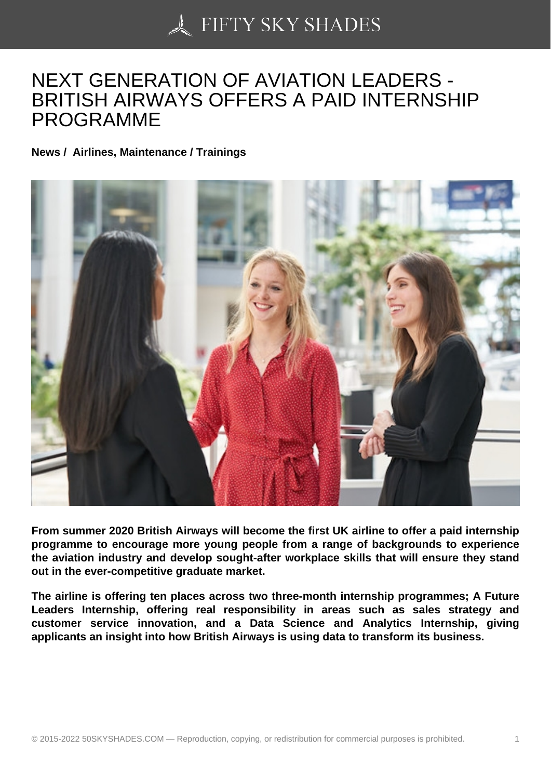## [NEXT GENERATION O](https://50skyshades.com)F AVIATION LEADERS - BRITISH AIRWAYS OFFERS A PAID INTERNSHIP PROGRAMME

News / Airlines, Maintenance / Trainings

From summer 2020 British Airways will become the first UK airline to offer a paid internship programme to encourage more young people from a range of backgrounds to experience the aviation industry and develop sought-after workplace skills that will ensure they stand out in the ever-competitive graduate market.

The airline is offering ten places across two three-month internship programmes; A Future Leaders Internship, offering real responsibility in areas such as sales strategy and customer service innovation, and a Data Science and Analytics Internship, giving applicants an insight into how British Airways is using data to transform its business.